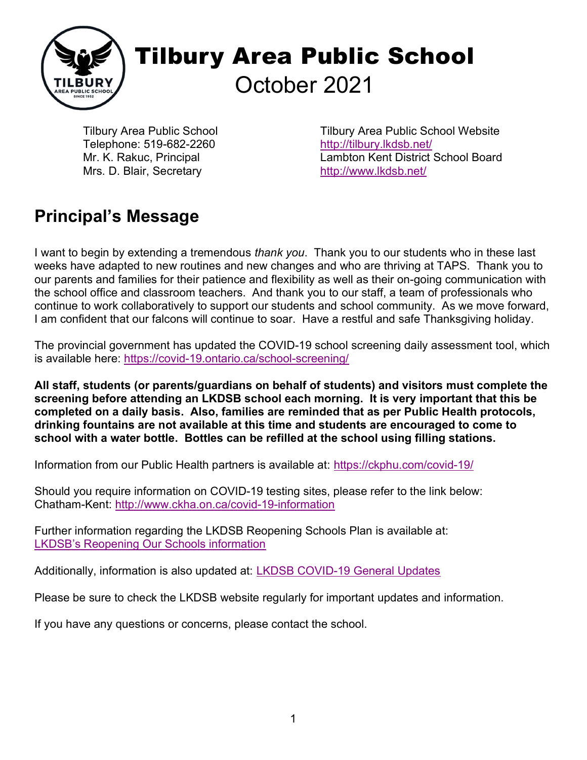

Tilbury Area Public School Telephone: 519-682-2260 Mr. K. Rakuc, Principal Mrs. D. Blair, Secretary

Tilbury Area Public School Website http://tilbury.lkdsb.net/ Lambton Kent District School Board http://www.lkdsb.net/

### Principal's Message

I want to begin by extending a tremendous thank you. Thank you to our students who in these last weeks have adapted to new routines and new changes and who are thriving at TAPS. Thank you to our parents and families for their patience and flexibility as well as their on-going communication with the school office and classroom teachers. And thank you to our staff, a team of professionals who continue to work collaboratively to support our students and school community. As we move forward, I am confident that our falcons will continue to soar. Have a restful and safe Thanksgiving holiday.

The provincial government has updated the COVID-19 school screening daily assessment tool, which is available here: https://covid-19.ontario.ca/school-screening/

All staff, students (or parents/guardians on behalf of students) and visitors must complete the screening before attending an LKDSB school each morning. It is very important that this be completed on a daily basis. Also, families are reminded that as per Public Health protocols, drinking fountains are not available at this time and students are encouraged to come to school with a water bottle. Bottles can be refilled at the school using filling stations.

Information from our Public Health partners is available at: https://ckphu.com/covid-19/

Should you require information on COVID-19 testing sites, please refer to the link below: Chatham-Kent: http://www.ckha.on.ca/covid-19-information

Further information regarding the LKDSB Reopening Schools Plan is available at: LKDSB's Reopening Our Schools information

Additionally, information is also updated at: LKDSB COVID-19 General Updates

Please be sure to check the LKDSB website regularly for important updates and information.

If you have any questions or concerns, please contact the school.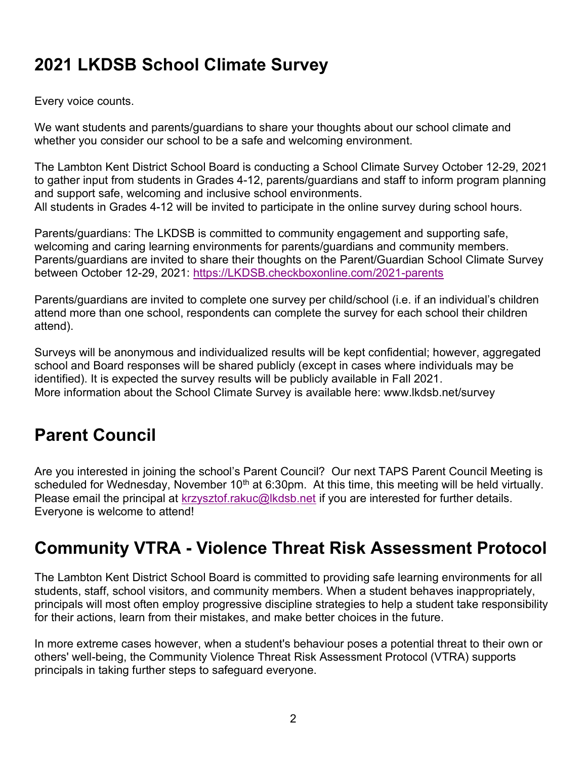# 2021 LKDSB School Climate Survey

Every voice counts.

We want students and parents/guardians to share your thoughts about our school climate and whether you consider our school to be a safe and welcoming environment.

The Lambton Kent District School Board is conducting a School Climate Survey October 12-29, 2021 to gather input from students in Grades 4-12, parents/guardians and staff to inform program planning and support safe, welcoming and inclusive school environments. All students in Grades 4-12 will be invited to participate in the online survey during school hours.

Parents/guardians: The LKDSB is committed to community engagement and supporting safe, welcoming and caring learning environments for parents/guardians and community members. Parents/guardians are invited to share their thoughts on the Parent/Guardian School Climate Survey between October 12-29, 2021: https://LKDSB.checkboxonline.com/2021-parents

Parents/guardians are invited to complete one survey per child/school (i.e. if an individual's children attend more than one school, respondents can complete the survey for each school their children attend).

Surveys will be anonymous and individualized results will be kept confidential; however, aggregated school and Board responses will be shared publicly (except in cases where individuals may be identified). It is expected the survey results will be publicly available in Fall 2021. More information about the School Climate Survey is available here: www.lkdsb.net/survey

# Parent Council

Are you interested in joining the school's Parent Council? Our next TAPS Parent Council Meeting is scheduled for Wednesday, November  $10<sup>th</sup>$  at 6:30pm. At this time, this meeting will be held virtually. Please email the principal at krzysztof.rakuc@lkdsb.net if you are interested for further details. Everyone is welcome to attend!

#### Community VTRA - Violence Threat Risk Assessment Protocol

The Lambton Kent District School Board is committed to providing safe learning environments for all students, staff, school visitors, and community members. When a student behaves inappropriately, principals will most often employ progressive discipline strategies to help a student take responsibility for their actions, learn from their mistakes, and make better choices in the future.

In more extreme cases however, when a student's behaviour poses a potential threat to their own or others' well-being, the Community Violence Threat Risk Assessment Protocol (VTRA) supports principals in taking further steps to safeguard everyone.